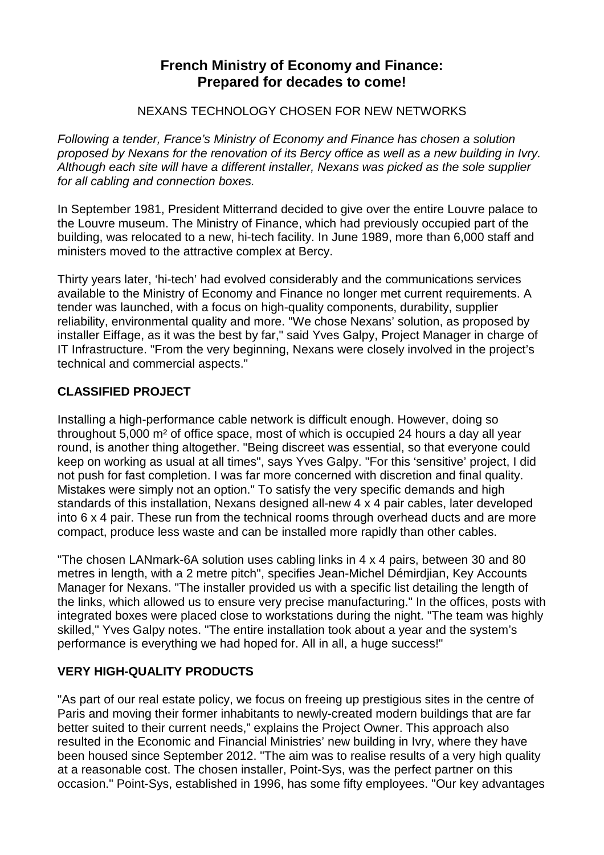# **French Ministry of Economy and Finance: Prepared for decades to come!**

#### NEXANS TECHNOLOGY CHOSEN FOR NEW NETWORKS

*Following a tender, France's Ministry of Economy and Finance has chosen a solution proposed by Nexans for the renovation of its Bercy office as well as a new building in Ivry. Although each site will have a different installer, Nexans was picked as the sole supplier for all cabling and connection boxes.* 

In September 1981, President Mitterrand decided to give over the entire Louvre palace to the Louvre museum. The Ministry of Finance, which had previously occupied part of the building, was relocated to a new, hi-tech facility. In June 1989, more than 6,000 staff and ministers moved to the attractive complex at Bercy.

Thirty years later, 'hi-tech' had evolved considerably and the communications services available to the Ministry of Economy and Finance no longer met current requirements. A tender was launched, with a focus on high-quality components, durability, supplier reliability, environmental quality and more. "We chose Nexans' solution, as proposed by installer Eiffage, as it was the best by far," said Yves Galpy, Project Manager in charge of IT Infrastructure. "From the very beginning, Nexans were closely involved in the project's technical and commercial aspects."

### **CLASSIFIED PROJECT**

Installing a high-performance cable network is difficult enough. However, doing so throughout 5,000 m² of office space, most of which is occupied 24 hours a day all year round, is another thing altogether. "Being discreet was essential, so that everyone could keep on working as usual at all times", says Yves Galpy. "For this 'sensitive' project, I did not push for fast completion. I was far more concerned with discretion and final quality. Mistakes were simply not an option." To satisfy the very specific demands and high standards of this installation, Nexans designed all-new 4 x 4 pair cables, later developed into 6 x 4 pair. These run from the technical rooms through overhead ducts and are more compact, produce less waste and can be installed more rapidly than other cables.

"The chosen LANmark-6A solution uses cabling links in 4 x 4 pairs, between 30 and 80 metres in length, with a 2 metre pitch", specifies Jean-Michel Démirdjian, Key Accounts Manager for Nexans. "The installer provided us with a specific list detailing the length of the links, which allowed us to ensure very precise manufacturing." In the offices, posts with integrated boxes were placed close to workstations during the night. "The team was highly skilled," Yves Galpy notes. "The entire installation took about a year and the system's performance is everything we had hoped for. All in all, a huge success!"

### **VERY HIGH-QUALITY PRODUCTS**

"As part of our real estate policy, we focus on freeing up prestigious sites in the centre of Paris and moving their former inhabitants to newly-created modern buildings that are far better suited to their current needs," explains the Project Owner. This approach also resulted in the Economic and Financial Ministries' new building in Ivry, where they have been housed since September 2012. "The aim was to realise results of a very high quality at a reasonable cost. The chosen installer, Point-Sys, was the perfect partner on this occasion." Point-Sys, established in 1996, has some fifty employees. "Our key advantages